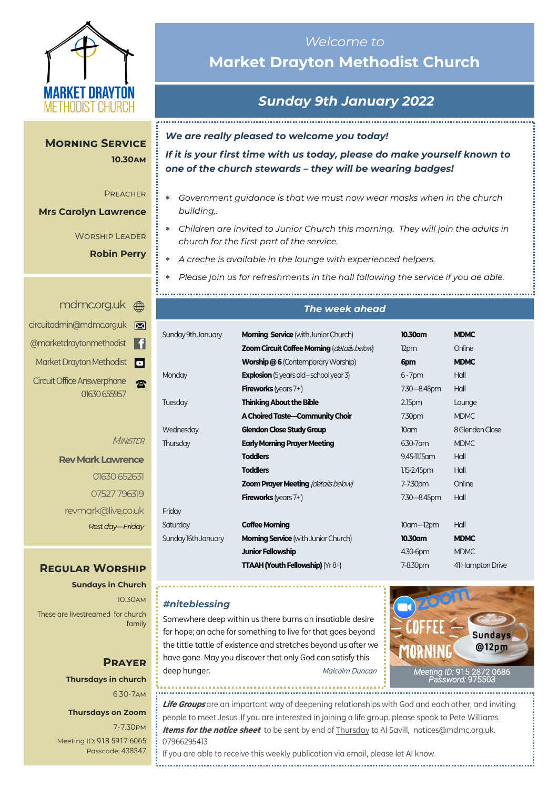

# *Welcome to*  **Market Drayton Methodist Church**

# *Sunday 9th January 2022*

*We are really pleased to welcome you today!*

*If it is your first time with us today, please do make yourself known to one of the church stewards – they will be wearing badges!*

- *Government guidance is that we must now wear masks when in the church building,.*
- *Children are invited to Junior Church this morning. They will join the adults in church for the first part of the service.*
- *A creche is available in the lounge with experienced helpers.*

*Please join us for refreshments in the hall following the service if you ae able.*

| un<br>₩                          | The week ahead                  |                                                                                         |                               |                                 |  |
|----------------------------------|---------------------------------|-----------------------------------------------------------------------------------------|-------------------------------|---------------------------------|--|
| g.uk<br>⊠<br>l fl<br><b>dist</b> | Sunday 9th January              | <b>Morning Service</b> (with Junior Church)                                             | 10.30am                       | <b>MDMC</b>                     |  |
| pdist<br> o                      |                                 | Zoom Circuit Coffee Morning (details below)<br><b>Worship @6</b> (Contemporary Worship) | 12pm<br>6pm                   | Online<br><b>MDMC</b>           |  |
| one<br>雷<br>5957                 | Monday                          | <b>Explosion</b> (5 years old - school year 3)<br><b>Fireworks</b> (years $7+$ )        | $6 - 7$ pm<br>7.30-8.45pm     | Hall<br>Hall                    |  |
|                                  | Tuesday                         | <b>Thinking About the Bible</b><br>A Choired Taste-Community Choir                      | 2.15 <sub>pm</sub><br>7.30pm  | Lounge<br><b>MDMC</b>           |  |
| <b>MINISTER</b>                  | Wednesday<br>Thursday           | <b>Glendon Close Study Group</b><br><b>Early Morning Prayer Meeting</b>                 | 10 <sub>cm</sub><br>6.30-7 am | 8 Glendon Close<br><b>MDMC</b>  |  |
| wrence                           |                                 | <b>Toddlers</b><br><b>Toddlers</b>                                                      | 9.45-11.15 am<br>1.15-2.45pm  | Hall<br>Hall                    |  |
| 0 652631<br>7796319              |                                 | <b>Zoom Prayer Meeting (details below)</b>                                              | 7-7.30pm                      | Online<br>Hall                  |  |
| ve.co.uk                         | Friday                          | <b>Fireworks</b> (years $7+$ )                                                          | 7.30-8.45pm                   |                                 |  |
| y-Friday                         | Saturday<br>Sunday 16th January | <b>Coffee Morning</b><br><b>Morning Service</b> (with Junior Church)                    | $10$ am- $12$ pm<br>10.30am   | Hall<br><b>MDMC</b>             |  |
| <b>RSHIP</b>                     |                                 | <b>Junior Fellowship</b><br><b>TTAAH (Youth Fellowship)</b> ( $Yr8+$ )                  | 4.30-6pm<br>7-8.30pm          | <b>MDMC</b><br>41 Hampton Drive |  |
|                                  |                                 |                                                                                         |                               |                                 |  |

#### *#niteblessing*

Somewhere deep within us there burns an insatiable desire for hope; an ache for something to live for that goes beyond the tittle tattle of existence and stretches beyond us after we have gone. May you discover that only God can satisfy this deep hunger. The material of the Malcolm Duncan



*[Meeting](https://us02web.zoom.us/j/83410523806?pwd=SmZBQmI3K3lXM1IybzNDZnhMUU5PUT09) ID:* [915 2872 0686](https://us02web.zoom.us/j/83410523806?pwd=SmZBQmI3K3lXM1IybzNDZnhMUU5PUT09)  *[Password:](https://us02web.zoom.us/j/83410523806?pwd=SmZBQmI3K3lXM1IybzNDZnhMUU5PUT09)* 975503

**10.30am 10.30am Morning Service** 

#### Preacher Preacher

**Rev Mark Lawrence Mrs Carolyn Lawrence**

Worship Leader Worship Leader

**Robin Perry** 

#### <mdmc.org.uk> em

| circuitadmin@mdmc.org.uk          |  |
|-----------------------------------|--|
| @marketdraytonmethodist           |  |
| Market Drayton Methodist          |  |
| <b>Circuit Office Answerphone</b> |  |
| 01630 655957                      |  |

**Rev Mark Lay**  $O1630$ 07527 revmark@liv *Rest day—Friday*

## **REGULAR WO**

**Sundays in Church** 10.30am

These are livestreamed for church family

## **Prayer Thursdays in church** 6.30-7am

#### **Thursdays on Zoom**

7-7.30pm [Meeting ID:](https://us04web.zoom.us/j/77138650306?fbclid=IwAR1B778-w3GWZgDnAqUFq-X6hXjzASNTsZuRIt4kZ4Cpyur_3CO2EGlBBwY#success) 918 5917 6065 Passcode: 438347

If you are able to receive this weekly publication via email, please let Al know.